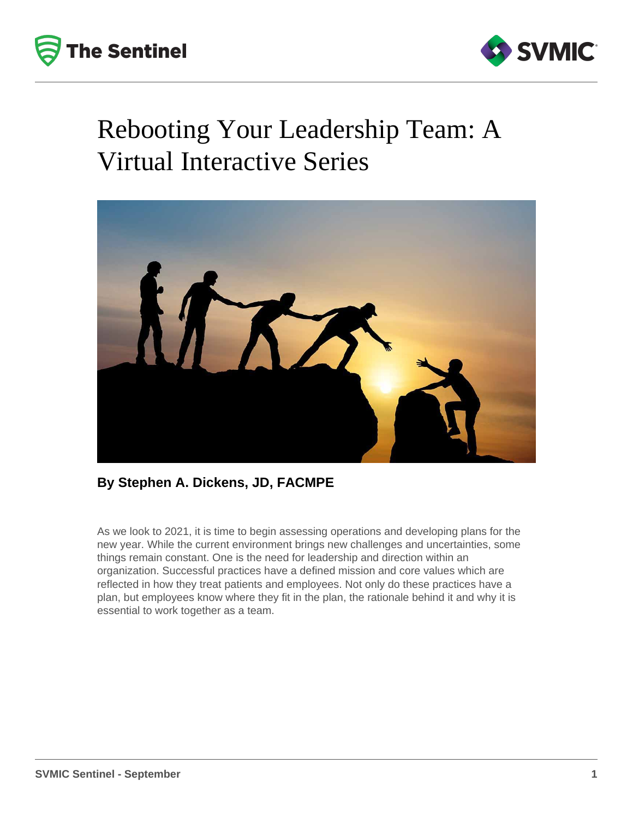



## Rebooting Your Leadership Team: A Virtual Interactive Series



### **By Stephen A. Dickens, JD, FACMPE**

As we look to 2021, it is time to begin assessing operations and developing plans for the new year. While the current environment brings new challenges and uncertainties, some things remain constant. One is the need for leadership and direction within an organization. Successful practices have a defined mission and core values which are reflected in how they treat patients and employees. Not only do these practices have a plan, but employees know where they fit in the plan, the rationale behind it and why it is essential to work together as a team.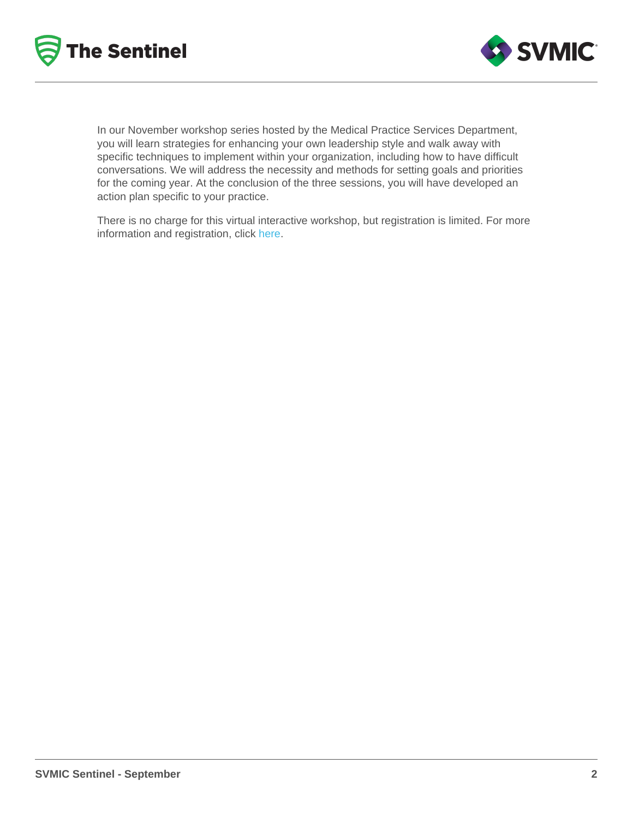In our November workshop series hosted by the Medical Practice Services Department, you will learn strategies for enhancing your own leadership style and walk away with specific techniques to implement within your organization, including how to have difficult conversations. We will address the necessity and methods for setting goals and priorities for the coming year. At the conclusion of the three sessions, you will have developed an action plan specific to your practice.

There is no charge for this virtual interactive workshop, but registration is limited. For more information and registration, click [here](https://education.svmic.com/content/rebooting-your-leadership-team-virtual-interactive-workshop).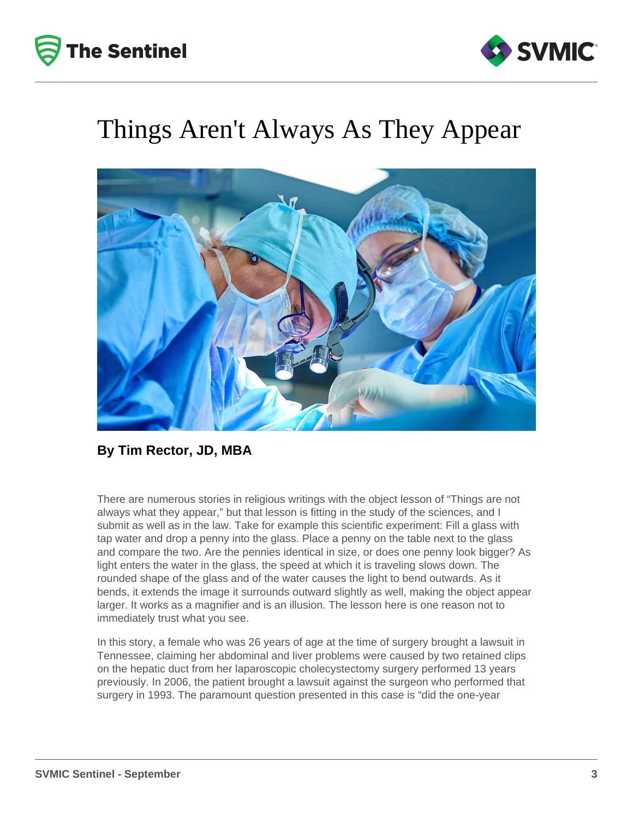



### Things Aren't Always As They Appear



### **By Tim Rector, JD, MBA**

There are numerous stories in religious writings with the object lesson of "Things are not always what they appear," but that lesson is fitting in the study of the sciences, and I submit as well as in the law. Take for example this scientific experiment: Fill a glass with tap water and drop a penny into the glass. Place a penny on the table next to the glass and compare the two. Are the pennies identical in size, or does one penny look bigger? As light enters the water in the glass, the speed at which it is traveling slows down. The rounded shape of the glass and of the water causes the light to bend outwards. As it bends, it extends the image it surrounds outward slightly as well, making the object appear larger. It works as a magnifier and is an illusion. The lesson here is one reason not to immediately trust what you see.

In this story, a female who was 26 years of age at the time of surgery brought a lawsuit in Tennessee, claiming her abdominal and liver problems were caused by two retained clips on the hepatic duct from her laparoscopic cholecystectomy surgery performed 13 years previously. In 2006, the patient brought a lawsuit against the surgeon who performed that surgery in 1993. The paramount question presented in this case is "did the one-year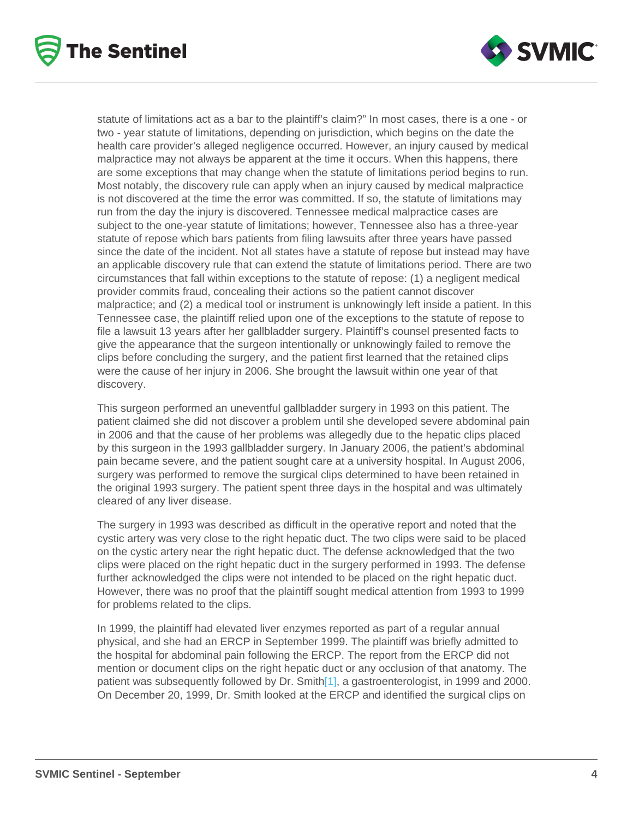statute of limitations act as a bar to the plaintiff's claim?" In most cases, there is a one - or two - year statute of limitations, depending on jurisdiction, which begins on the date the health care provider's alleged negligence occurred. However, an injury caused by medical malpractice may not always be apparent at the time it occurs. When this happens, there are some exceptions that may change when the statute of limitations period begins to run. Most notably, the discovery rule can apply when an injury caused by medical malpractice is not discovered at the time the error was committed. If so, the statute of limitations may run from the day the injury is discovered. Tennessee medical malpractice cases are subject to the one-year statute of limitations; however, Tennessee also has a three-year statute of repose which bars patients from filing lawsuits after three years have passed since the date of the incident. Not all states have a statute of repose but instead may have an applicable discovery rule that can extend the statute of limitations period. There are two circumstances that fall within exceptions to the statute of repose: (1) a negligent medical provider commits fraud, concealing their actions so the patient cannot discover malpractice; and (2) a medical tool or instrument is unknowingly left inside a patient. In this Tennessee case, the plaintiff relied upon one of the exceptions to the statute of repose to file a lawsuit 13 years after her gallbladder surgery. Plaintiff's counsel presented facts to give the appearance that the surgeon intentionally or unknowingly failed to remove the clips before concluding the surgery, and the patient first learned that the retained clips were the cause of her injury in 2006. She brought the lawsuit within one year of that discovery.

This surgeon performed an uneventful gallbladder surgery in 1993 on this patient. The patient claimed she did not discover a problem until she developed severe abdominal pain in 2006 and that the cause of her problems was allegedly due to the hepatic clips placed by this surgeon in the 1993 gallbladder surgery. In January 2006, the patient's abdominal pain became severe, and the patient sought care at a university hospital. In August 2006, surgery was performed to remove the surgical clips determined to have been retained in the original 1993 surgery. The patient spent three days in the hospital and was ultimately cleared of any liver disease.

The surgery in 1993 was described as difficult in the operative report and noted that the cystic artery was very close to the right hepatic duct. The two clips were said to be placed on the cystic artery near the right hepatic duct. The defense acknowledged that the two clips were placed on the right hepatic duct in the surgery performed in 1993. The defense further acknowledged the clips were not intended to be placed on the right hepatic duct. However, there was no proof that the plaintiff sought medical attention from 1993 to 1999 for problems related to the clips.

In 1999, the plaintiff had elevated liver enzymes reported as part of a regular annual physical, and she had an ERCP in September 1999. The plaintiff was briefly admitted to the hospital for abdominal pain following the ERCP. The report from the ERCP did not mention or document clips on the right hepatic duct or any occlusion of that anatomy. The patient was subsequently followed by Dr. Smith<sup>[1]</sup>, a gastroenterologist, in 1999 and 2000. On December 20, 1999, Dr. Smith looked at the ERCP and identified the surgical clips on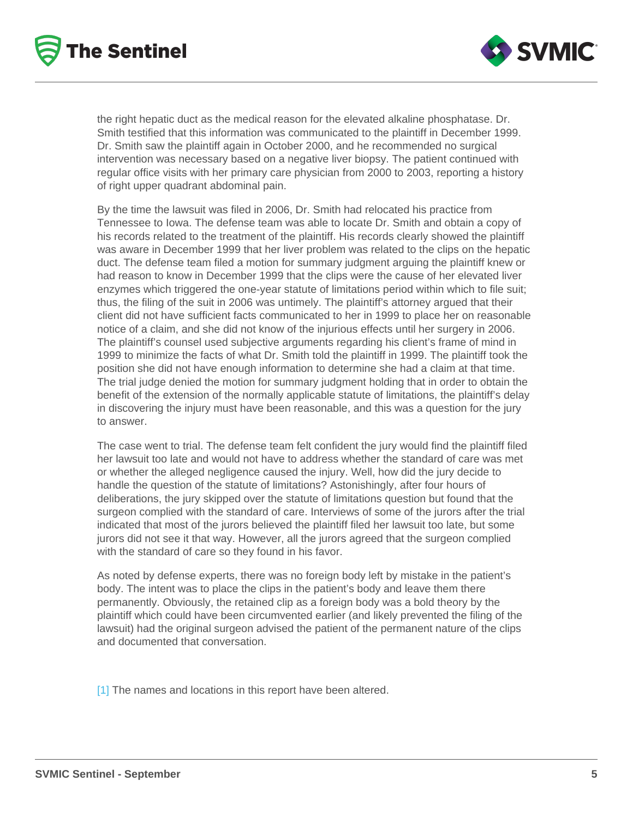the right hepatic duct as the medical reason for the elevated alkaline phosphatase. Dr. Smith testified that this information was communicated to the plaintiff in December 1999. Dr. Smith saw the plaintiff again in October 2000, and he recommended no surgical intervention was necessary based on a negative liver biopsy. The patient continued with regular office visits with her primary care physician from 2000 to 2003, reporting a history of right upper quadrant abdominal pain.

By the time the lawsuit was filed in 2006, Dr. Smith had relocated his practice from Tennessee to Iowa. The defense team was able to locate Dr. Smith and obtain a copy of his records related to the treatment of the plaintiff. His records clearly showed the plaintiff was aware in December 1999 that her liver problem was related to the clips on the hepatic duct. The defense team filed a motion for summary judgment arguing the plaintiff knew or had reason to know in December 1999 that the clips were the cause of her elevated liver enzymes which triggered the one-year statute of limitations period within which to file suit; thus, the filing of the suit in 2006 was untimely. The plaintiff's attorney argued that their client did not have sufficient facts communicated to her in 1999 to place her on reasonable notice of a claim, and she did not know of the injurious effects until her surgery in 2006. The plaintiff's counsel used subjective arguments regarding his client's frame of mind in 1999 to minimize the facts of what Dr. Smith told the plaintiff in 1999. The plaintiff took the position she did not have enough information to determine she had a claim at that time. The trial judge denied the motion for summary judgment holding that in order to obtain the benefit of the extension of the normally applicable statute of limitations, the plaintiff's delay in discovering the injury must have been reasonable, and this was a question for the jury to answer.

The case went to trial. The defense team felt confident the jury would find the plaintiff filed her lawsuit too late and would not have to address whether the standard of care was met or whether the alleged negligence caused the injury. Well, how did the jury decide to handle the question of the statute of limitations? Astonishingly, after four hours of deliberations, the jury skipped over the statute of limitations question but found that the surgeon complied with the standard of care. Interviews of some of the jurors after the trial indicated that most of the jurors believed the plaintiff filed her lawsuit too late, but some jurors did not see it that way. However, all the jurors agreed that the surgeon complied with the standard of care so they found in his favor.

As noted by defense experts, there was no foreign body left by mistake in the patient's body. The intent was to place the clips in the patient's body and leave them there permanently. Obviously, the retained clip as a foreign body was a bold theory by the plaintiff which could have been circumvented earlier (and likely prevented the filing of the lawsuit) had the original surgeon advised the patient of the permanent nature of the clips and documented that conversation.

[\[1\]](https://svmic.sharepoint.com/sites/SVMICMarketing/Shared Documents/NEW STRUCTURE/Sentinel/September 2020/September Closed Claim Final.docx#_ftnref1) The names and locations in this report have been altered.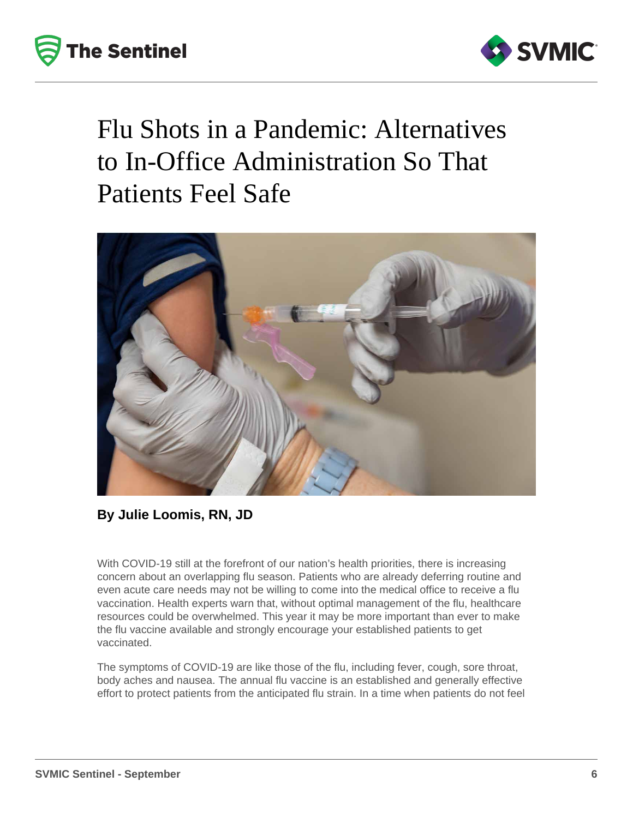



# Flu Shots in a Pandemic: Alternatives to In-Office Administration So That Patients Feel Safe



**By Julie Loomis, RN, JD**

With COVID-19 still at the forefront of our nation's health priorities, there is increasing concern about an overlapping flu season. Patients who are already deferring routine and even acute care needs may not be willing to come into the medical office to receive a flu vaccination. Health experts warn that, without optimal management of the flu, healthcare resources could be overwhelmed. This year it may be more important than ever to make the flu vaccine available and strongly encourage your established patients to get vaccinated.

The symptoms of COVID-19 are like those of the flu, including fever, cough, sore throat, body aches and nausea. The annual flu vaccine is an established and generally effective effort to protect patients from the anticipated flu strain. In a time when patients do not feel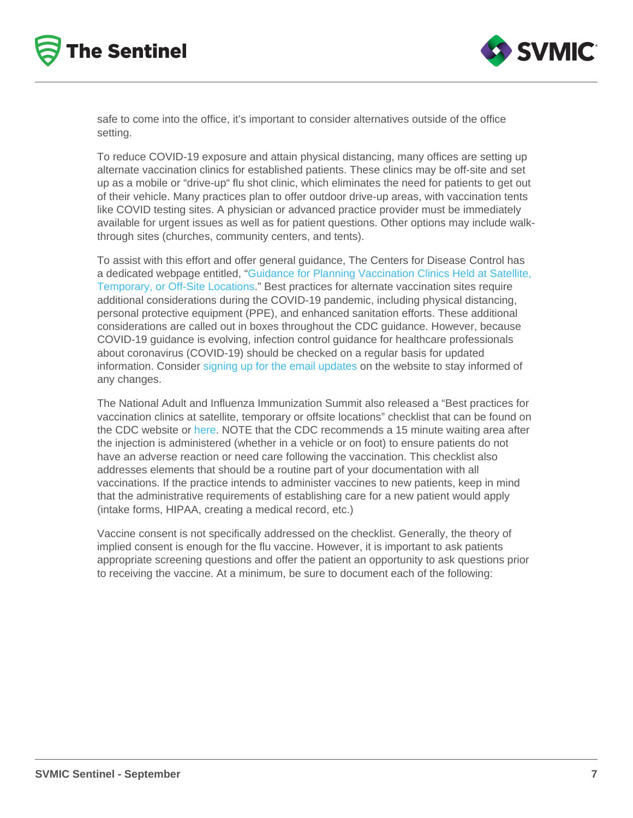safe to come into the office, it's important to consider alternatives outside of the office setting.

To reduce COVID-19 exposure and attain physical distancing, many offices are setting up alternate vaccination clinics for established patients. These clinics may be off-site and set up as a mobile or "drive-up" flu shot clinic, which eliminates the need for patients to get out of their vehicle. Many practices plan to offer outdoor drive-up areas, with vaccination tents like COVID testing sites. A physician or advanced practice provider must be immediately available for urgent issues as well as for patient questions. Other options may include walkthrough sites (churches, community centers, and tents).

To assist with this effort and offer general guidance, The Centers for Disease Control has a dedicated webpage entitled, "[Guidance for Planning Vaccination Clinics Held at Satellite,](https://www.cdc.gov/vaccines/hcp/admin/mass-clinic-activities/index.html)  [Temporary, or Off-Site Locations](https://www.cdc.gov/vaccines/hcp/admin/mass-clinic-activities/index.html)." Best practices for alternate vaccination sites require additional considerations during the COVID-19 pandemic, including physical distancing, personal protective equipment (PPE), and enhanced sanitation efforts. These additional considerations are called out in boxes throughout the CDC guidance. However, because COVID-19 guidance is evolving, infection control guidance for healthcare professionals about coronavirus (COVID-19) should be checked on a regular basis for updated information. Consider [signing up for the email updates](https://tools.cdc.gov/campaignproxyservice/subscriptions.aspx) on the website to stay informed of any changes.

The National Adult and Influenza Immunization Summit also released a "Best practices for vaccination clinics at satellite, temporary or offsite locations" checklist that can be found on the CDC website or [here.](https://www.izsummitpartners.org/content/uploads/2019/02/off-site-vaccination-clinic-checklist.pdf) NOTE that the CDC recommends a 15 minute waiting area after the injection is administered (whether in a vehicle or on foot) to ensure patients do not have an adverse reaction or need care following the vaccination. This checklist also addresses elements that should be a routine part of your documentation with all vaccinations. If the practice intends to administer vaccines to new patients, keep in mind that the administrative requirements of establishing care for a new patient would apply (intake forms, HIPAA, creating a medical record, etc.)

Vaccine consent is not specifically addressed on the checklist. Generally, the theory of implied consent is enough for the flu vaccine. However, it is important to ask patients appropriate screening questions and offer the patient an opportunity to ask questions prior to receiving the vaccine. At a minimum, be sure to document each of the following: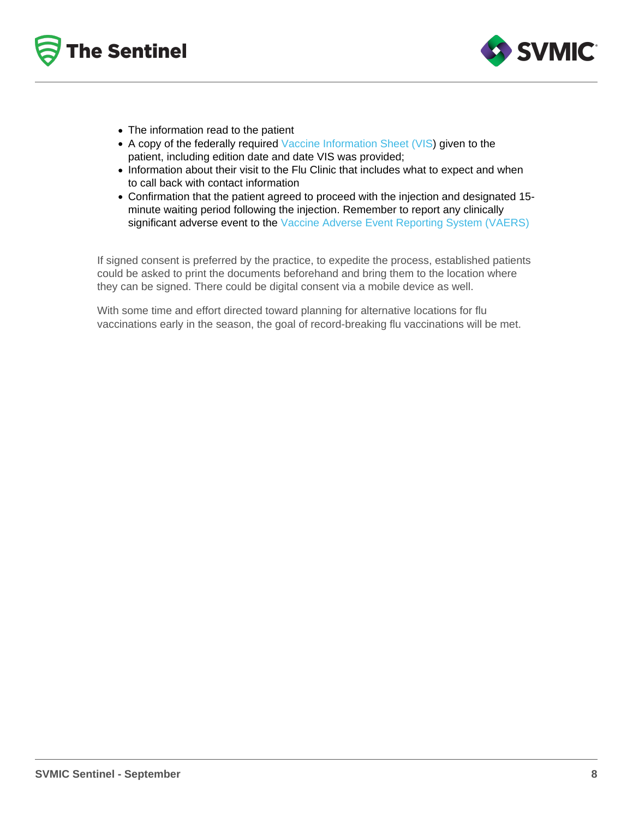- The information read to the patient
- A copy of the federally required [Vaccine Information Sheet \(VIS\)](https://www.immunize.org/vis/flu_inactive.pdf) given to the patient, including edition date and date VIS was provided;
- Information about their visit to the Flu Clinic that includes what to expect and when to call back with contact information
- Confirmation that the patient agreed to proceed with the injection and designated 15 minute waiting period following the injection. Remember to report any clinically significant adverse event to the [Vaccine Adverse Event Reporting System \(VAERS\)](https://vaers.hhs.gov/)

If signed consent is preferred by the practice, to expedite the process, established patients could be asked to print the documents beforehand and bring them to the location where they can be signed. There could be digital consent via a mobile device as well.

With some time and effort directed toward planning for alternative locations for flu vaccinations early in the season, the goal of record-breaking flu vaccinations will be met.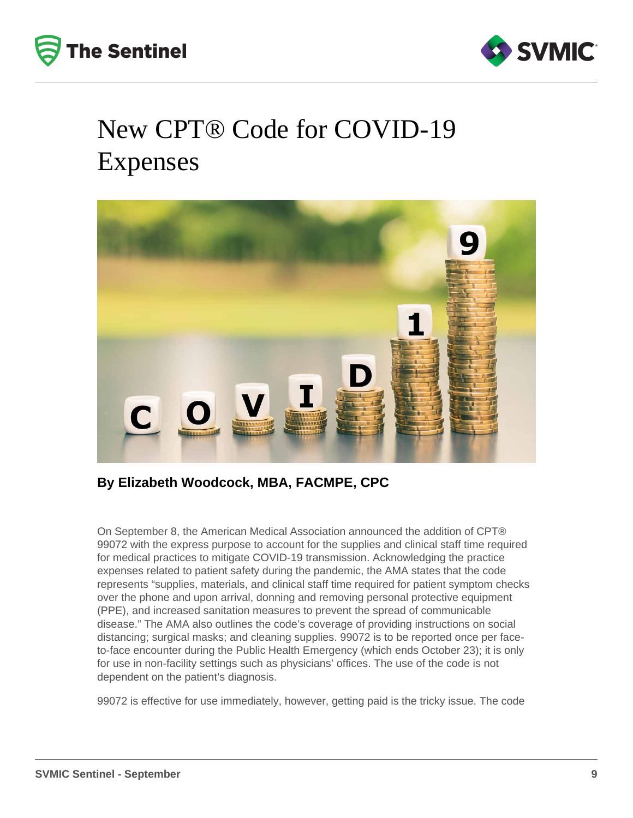



# New CPT® Code for COVID-19 Expenses



### **By Elizabeth Woodcock, MBA, FACMPE, CPC**

On September 8, the American Medical Association announced the addition of CPT® 99072 with the express purpose to account for the supplies and clinical staff time required for medical practices to mitigate COVID-19 transmission. Acknowledging the practice expenses related to patient safety during the pandemic, the AMA states that the code represents "supplies, materials, and clinical staff time required for patient symptom checks over the phone and upon arrival, donning and removing personal protective equipment (PPE), and increased sanitation measures to prevent the spread of communicable disease." The AMA also outlines the code's coverage of providing instructions on social distancing; surgical masks; and cleaning supplies. 99072 is to be reported once per faceto-face encounter during the Public Health Emergency (which ends October 23); it is only for use in non-facility settings such as physicians' offices. The use of the code is not dependent on the patient's diagnosis.

99072 is effective for use immediately, however, getting paid is the tricky issue. The code